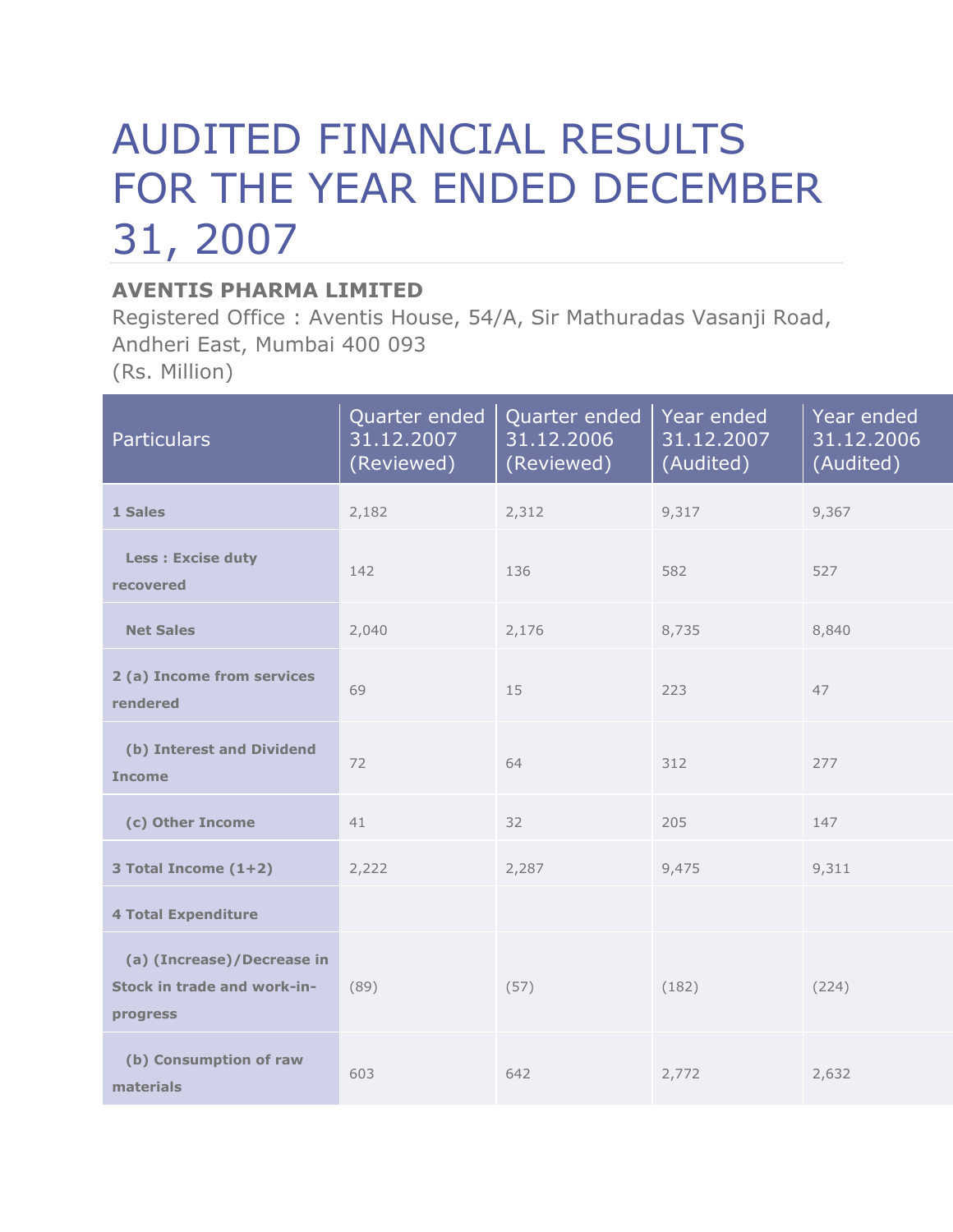## AUDITED FINANCIAL RESULTS FOR THE YEAR ENDED DECEMBER 31, 2007

## **AVENTIS PHARMA LIMITED**

Registered Office : Aventis House, 54/A, Sir Mathuradas Vasanji Road, Andheri East, Mumbai 400 093 (Rs. Million)

| <b>Particulars</b>                                                    | Quarter ended<br>31.12.2007<br>(Reviewed) | Quarter ended<br>31.12.2006<br>(Reviewed) | Year ended<br>31.12.2007<br>(Audited) | Year ended<br>31.12.2006<br>(Audited) |
|-----------------------------------------------------------------------|-------------------------------------------|-------------------------------------------|---------------------------------------|---------------------------------------|
| 1 Sales                                                               | 2,182                                     | 2,312                                     | 9,317                                 | 9,367                                 |
| <b>Less: Excise duty</b><br>recovered                                 | 142                                       | 136                                       | 582                                   | 527                                   |
| <b>Net Sales</b>                                                      | 2,040                                     | 2,176                                     | 8,735                                 | 8,840                                 |
| 2 (a) Income from services<br>rendered                                | 69                                        | 15                                        | 223                                   | 47                                    |
| (b) Interest and Dividend<br><b>Income</b>                            | 72                                        | 64                                        | 312                                   | 277                                   |
| (c) Other Income                                                      | 41                                        | 32                                        | 205                                   | 147                                   |
| 3 Total Income (1+2)                                                  | 2,222                                     | 2,287                                     | 9,475                                 | 9,311                                 |
| <b>4 Total Expenditure</b>                                            |                                           |                                           |                                       |                                       |
| (a) (Increase)/Decrease in<br>Stock in trade and work-in-<br>progress | (89)                                      | (57)                                      | (182)                                 | (224)                                 |
| (b) Consumption of raw<br>materials                                   | 603                                       | 642                                       | 2,772                                 | 2,632                                 |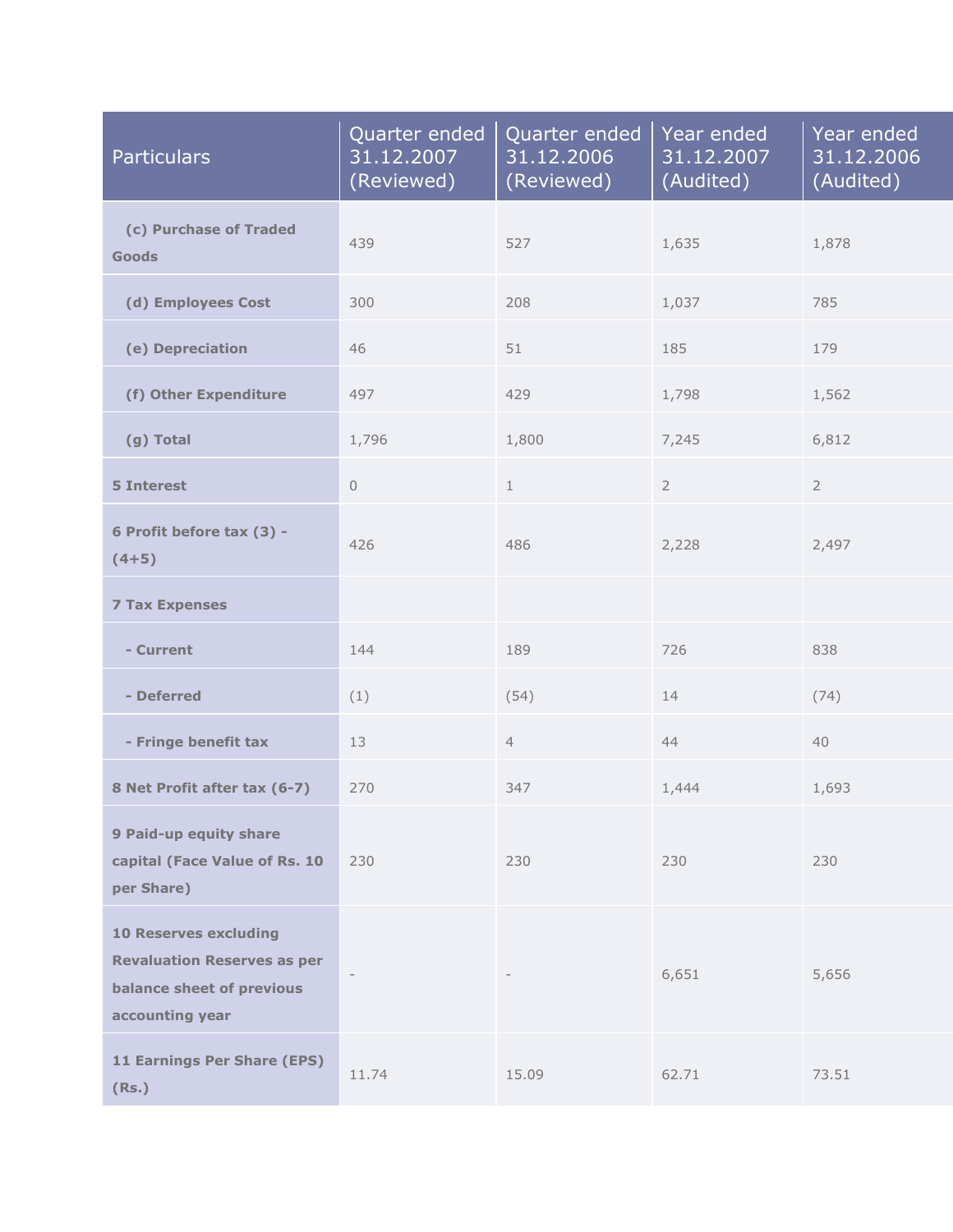| <b>Particulars</b>                                                                                                 | Quarter ended<br>31.12.2007<br>(Reviewed) | Quarter ended<br>31.12.2006<br>(Reviewed) | Year ended<br>31.12.2007<br>(Audited) | Year ended<br>31.12.2006<br>(Audited) |
|--------------------------------------------------------------------------------------------------------------------|-------------------------------------------|-------------------------------------------|---------------------------------------|---------------------------------------|
| (c) Purchase of Traded<br><b>Goods</b>                                                                             | 439                                       | 527                                       | 1,635                                 | 1,878                                 |
| (d) Employees Cost                                                                                                 | 300                                       | 208                                       | 1,037                                 | 785                                   |
| (e) Depreciation                                                                                                   | 46                                        | 51                                        | 185                                   | 179                                   |
| (f) Other Expenditure                                                                                              | 497                                       | 429                                       | 1,798                                 | 1,562                                 |
| (g) Total                                                                                                          | 1,796                                     | 1,800                                     | 7,245                                 | 6,812                                 |
| <b>5 Interest</b>                                                                                                  | $\mathbf 0$                               | $\mathbf 1$                               | $\overline{2}$                        | $\overline{2}$                        |
| 6 Profit before tax (3) -<br>$(4+5)$                                                                               | 426                                       | 486                                       | 2,228                                 | 2,497                                 |
| <b>7 Tax Expenses</b>                                                                                              |                                           |                                           |                                       |                                       |
| - Current                                                                                                          | 144                                       | 189                                       | 726                                   | 838                                   |
| - Deferred                                                                                                         | (1)                                       | (54)                                      | 14                                    | (74)                                  |
| - Fringe benefit tax                                                                                               | 13                                        | $\overline{4}$                            | 44                                    | 40                                    |
| 8 Net Profit after tax (6-7)                                                                                       | 270                                       | 347                                       | 1,444                                 | 1,693                                 |
| 9 Paid-up equity share<br>capital (Face Value of Rs. 10<br>per Share)                                              | 230                                       | 230                                       | 230                                   | 230                                   |
| <b>10 Reserves excluding</b><br><b>Revaluation Reserves as per</b><br>balance sheet of previous<br>accounting year |                                           |                                           | 6,651                                 | 5,656                                 |
| 11 Earnings Per Share (EPS)<br>(Rs.)                                                                               | 11.74                                     | 15.09                                     | 62.71                                 | 73.51                                 |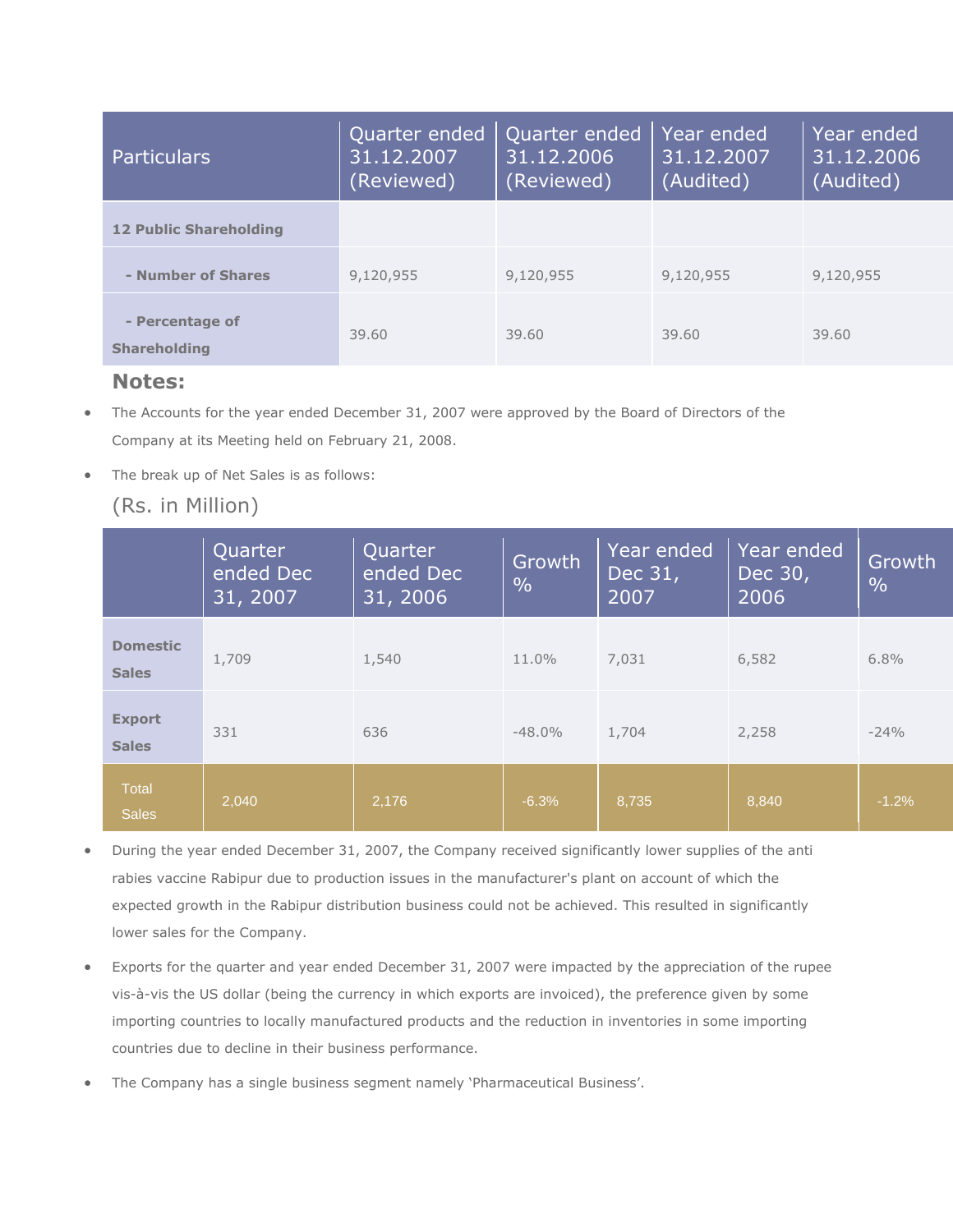| <b>Particulars</b>                     | Quarter ended<br>31.12.2007<br>(Reviewed) | Quarter ended<br>31.12.2006<br>(Reviewed) | Year ended<br>31.12.2007<br>(Audited) | Year ended<br>31.12.2006<br>(Audited) |
|----------------------------------------|-------------------------------------------|-------------------------------------------|---------------------------------------|---------------------------------------|
| <b>12 Public Shareholding</b>          |                                           |                                           |                                       |                                       |
| - Number of Shares                     | 9,120,955                                 | 9,120,955                                 | 9,120,955                             | 9,120,955                             |
| - Percentage of<br><b>Shareholding</b> | 39.60                                     | 39.60                                     | 39.60                                 | 39.60                                 |

## **Notes:**

- The Accounts for the year ended December 31, 2007 were approved by the Board of Directors of the Company at its Meeting held on February 21, 2008.
- The break up of Net Sales is as follows:

## (Rs. in Million)

|                                 | Quarter<br>ended Dec<br>$\overline{31}$ , 2007 $^\prime$ | Quarter<br>ended Dec<br>31, 2006 | Growth<br>$\frac{0}{0}$ | Year ended<br>Dec 31,<br>2007 | Year ended<br>Dec 30,<br>2006 | <b>Growth</b><br>$\frac{0}{0}$ |
|---------------------------------|----------------------------------------------------------|----------------------------------|-------------------------|-------------------------------|-------------------------------|--------------------------------|
| <b>Domestic</b><br><b>Sales</b> | 1,709                                                    | 1,540                            | 11.0%                   | 7,031                         | 6,582                         | 6.8%                           |
| <b>Export</b><br><b>Sales</b>   | 331                                                      | 636                              | $-48.0%$                | 1,704                         | 2,258                         | $-24%$                         |
| Total<br><b>Sales</b>           | 2,040                                                    | 2,176                            | $-6.3%$                 | 8,735                         | 8,840                         | $-1.2%$                        |

- During the year ended December 31, 2007, the Company received significantly lower supplies of the anti rabies vaccine Rabipur due to production issues in the manufacturer's plant on account of which the expected growth in the Rabipur distribution business could not be achieved. This resulted in significantly lower sales for the Company.
- Exports for the quarter and year ended December 31, 2007 were impacted by the appreciation of the rupee vis-à-vis the US dollar (being the currency in which exports are invoiced), the preference given by some importing countries to locally manufactured products and the reduction in inventories in some importing countries due to decline in their business performance.
- The Company has a single business segment namely 'Pharmaceutical Business'.